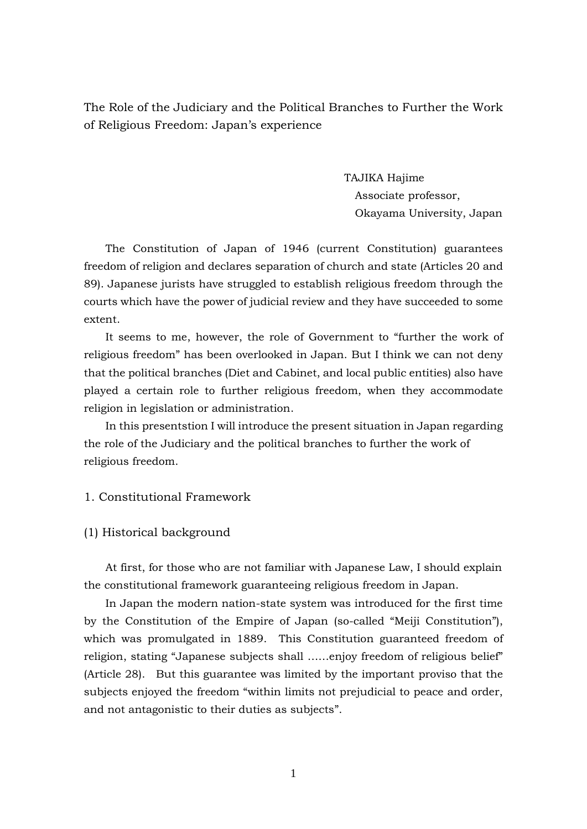The Role of the Judiciary and the Political Branches to Further the Work of Religious Freedom: Japan's experience

> TAJIKA Hajime Associate professor, Okayama University, Japan

The Constitution of Japan of 1946 (current Constitution) guarantees freedom of religion and declares separation of church and state (Articles 20 and 89). Japanese jurists have struggled to establish religious freedom through the courts which have the power of judicial review and they have succeeded to some extent.

It seems to me, however, the role of Government to "further the work of religious freedom" has been overlooked in Japan. But I think we can not deny that the political branches (Diet and Cabinet, and local public entities) also have played a certain role to further religious freedom, when they accommodate religion in legislation or administration.

In this presentstion I will introduce the present situation in Japan regarding the role of the Judiciary and the political branches to further the work of religious freedom.

# 1. Constitutional Framework

(1) Historical background

At first, for those who are not familiar with Japanese Law, I should explain the constitutional framework guaranteeing religious freedom in Japan.

In Japan the modern nation-state system was introduced for the first time by the Constitution of the Empire of Japan (so-called "Meiji Constitution"), which was promulgated in 1889. This Constitution guaranteed freedom of religion, stating "Japanese subjects shall ……enjoy freedom of religious belief" (Article 28). But this guarantee was limited by the important proviso that the subjects enjoyed the freedom "within limits not prejudicial to peace and order, and not antagonistic to their duties as subjects".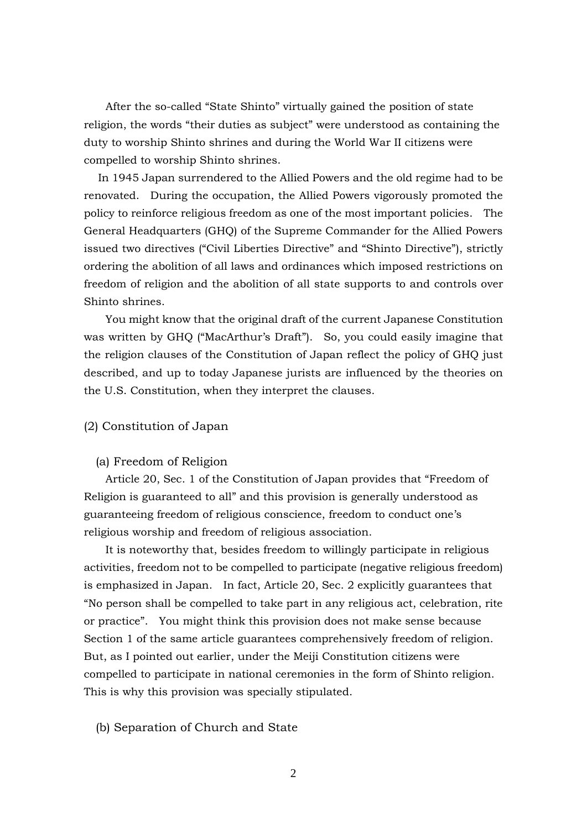After the so-called "State Shinto" virtually gained the position of state religion, the words "their duties as subject" were understood as containing the duty to worship Shinto shrines and during the World War II citizens were compelled to worship Shinto shrines.

In 1945 Japan surrendered to the Allied Powers and the old regime had to be renovated. During the occupation, the Allied Powers vigorously promoted the policy to reinforce religious freedom as one of the most important policies. The General Headquarters (GHQ) of the Supreme Commander for the Allied Powers issued two directives ("Civil Liberties Directive" and "Shinto Directive"), strictly ordering the abolition of all laws and ordinances which imposed restrictions on freedom of religion and the abolition of all state supports to and controls over Shinto shrines.

You might know that the original draft of the current Japanese Constitution was written by GHQ ("MacArthur's Draft"). So, you could easily imagine that the religion clauses of the Constitution of Japan reflect the policy of GHQ just described, and up to today Japanese jurists are influenced by the theories on the U.S. Constitution, when they interpret the clauses.

# (2) Constitution of Japan

### (a) Freedom of Religion

Article 20, Sec. 1 of the Constitution of Japan provides that "Freedom of Religion is guaranteed to all" and this provision is generally understood as guaranteeing freedom of religious conscience, freedom to conduct one's religious worship and freedom of religious association.

It is noteworthy that, besides freedom to willingly participate in religious activities, freedom not to be compelled to participate (negative religious freedom) is emphasized in Japan. In fact, Article 20, Sec. 2 explicitly guarantees that "No person shall be compelled to take part in any religious act, celebration, rite or practice". You might think this provision does not make sense because Section 1 of the same article guarantees comprehensively freedom of religion. But, as I pointed out earlier, under the Meiji Constitution citizens were compelled to participate in national ceremonies in the form of Shinto religion. This is why this provision was specially stipulated.

### (b) Separation of Church and State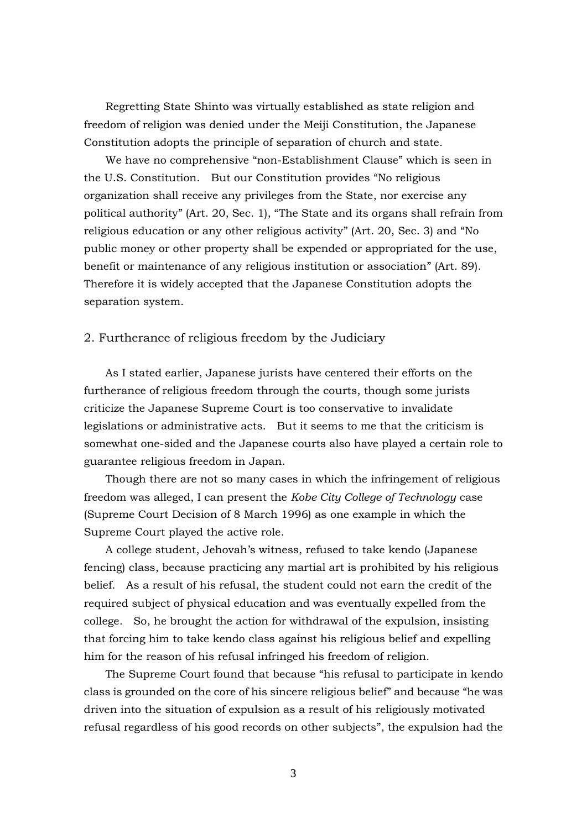Regretting State Shinto was virtually established as state religion and freedom of religion was denied under the Meiji Constitution, the Japanese Constitution adopts the principle of separation of church and state.

We have no comprehensive "non-Establishment Clause" which is seen in the U.S. Constitution. But our Constitution provides "No religious organization shall receive any privileges from the State, nor exercise any political authority" (Art. 20, Sec. 1), "The State and its organs shall refrain from religious education or any other religious activity" (Art. 20, Sec. 3) and "No public money or other property shall be expended or appropriated for the use, benefit or maintenance of any religious institution or association" (Art. 89). Therefore it is widely accepted that the Japanese Constitution adopts the separation system.

### 2. Furtherance of religious freedom by the Judiciary

As I stated earlier, Japanese jurists have centered their efforts on the furtherance of religious freedom through the courts, though some jurists criticize the Japanese Supreme Court is too conservative to invalidate legislations or administrative acts. But it seems to me that the criticism is somewhat one-sided and the Japanese courts also have played a certain role to guarantee religious freedom in Japan.

Though there are not so many cases in which the infringement of religious freedom was alleged, I can present the *Kobe City College of Technology* case (Supreme Court Decision of 8 March 1996) as one example in which the Supreme Court played the active role.

A college student, Jehovah's witness, refused to take kendo (Japanese fencing) class, because practicing any martial art is prohibited by his religious belief. As a result of his refusal, the student could not earn the credit of the required subject of physical education and was eventually expelled from the college. So, he brought the action for withdrawal of the expulsion, insisting that forcing him to take kendo class against his religious belief and expelling him for the reason of his refusal infringed his freedom of religion.

The Supreme Court found that because "his refusal to participate in kendo class is grounded on the core of his sincere religious belief" and because "he was driven into the situation of expulsion as a result of his religiously motivated refusal regardless of his good records on other subjects", the expulsion had the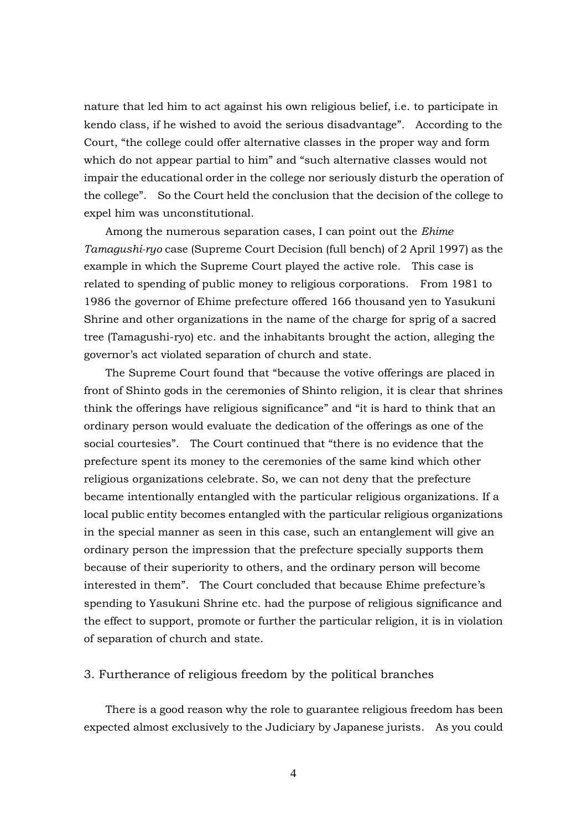nature that led him to act against his own religious belief, i.e. to participate in kendo class, if he wished to avoid the serious disadvantage". According to the Court, "the college could offer alternative classes in the proper way and form which do not appear partial to him" and "such alternative classes would not impair the educational order in the college nor seriously disturb the operation of the college". So the Court held the conclusion that the decision of the college to expel him was unconstitutional.

Among the numerous separation cases, I can point out the *Ehime Tamagushi-ryo* case (Supreme Court Decision (full bench) of 2 April 1997) as the example in which the Supreme Court played the active role. This case is related to spending of public money to religious corporations. From 1981 to 1986 the governor of Ehime prefecture offered 166 thousand yen to Yasukuni Shrine and other organizations in the name of the charge for sprig of a sacred tree (Tamagushi-ryo) etc. and the inhabitants brought the action, alleging the governor's act violated separation of church and state.

The Supreme Court found that "because the votive offerings are placed in front of Shinto gods in the ceremonies of Shinto religion, it is clear that shrines think the offerings have religious significance" and "it is hard to think that an ordinary person would evaluate the dedication of the offerings as one of the social courtesies". The Court continued that "there is no evidence that the prefecture spent its money to the ceremonies of the same kind which other religious organizations celebrate. So, we can not deny that the prefecture became intentionally entangled with the particular religious organizations. If a local public entity becomes entangled with the particular religious organizations in the special manner as seen in this case, such an entanglement will give an ordinary person the impression that the prefecture specially supports them because of their superiority to others, and the ordinary person will become interested in them". The Court concluded that because Ehime prefecture's spending to Yasukuni Shrine etc. had the purpose of religious significance and the effect to support, promote or further the particular religion, it is in violation of separation of church and state.

#### 3. Furtherance of religious freedom by the political branches

There is a good reason why the role to guarantee religious freedom has been expected almost exclusively to the Judiciary by Japanese jurists. As you could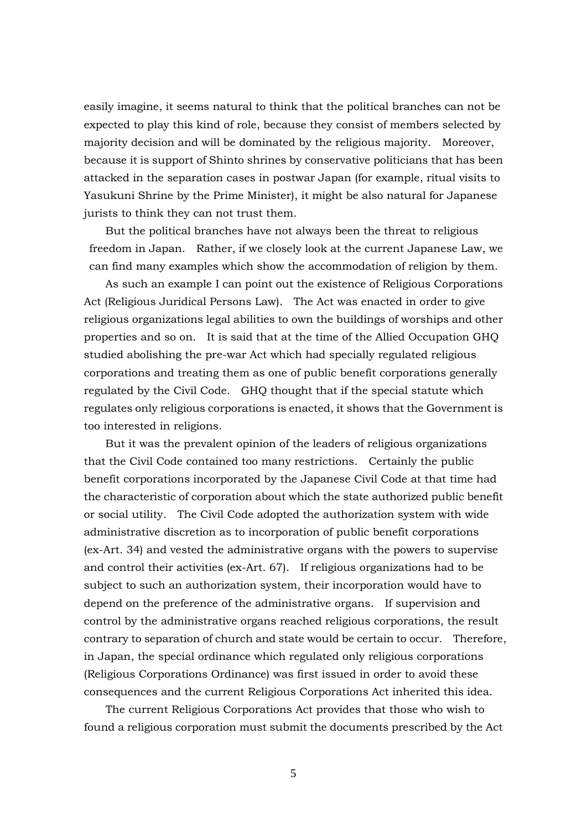easily imagine, it seems natural to think that the political branches can not be expected to play this kind of role, because they consist of members selected by majority decision and will be dominated by the religious majority. Moreover, because it is support of Shinto shrines by conservative politicians that has been attacked in the separation cases in postwar Japan (for example, ritual visits to Yasukuni Shrine by the Prime Minister), it might be also natural for Japanese jurists to think they can not trust them.

But the political branches have not always been the threat to religious freedom in Japan. Rather, if we closely look at the current Japanese Law, we can find many examples which show the accommodation of religion by them.

As such an example I can point out the existence of Religious Corporations Act (Religious Juridical Persons Law). The Act was enacted in order to give religious organizations legal abilities to own the buildings of worships and other properties and so on. It is said that at the time of the Allied Occupation GHQ studied abolishing the pre-war Act which had specially regulated religious corporations and treating them as one of public benefit corporations generally regulated by the Civil Code. GHQ thought that if the special statute which regulates only religious corporations is enacted, it shows that the Government is too interested in religions.

But it was the prevalent opinion of the leaders of religious organizations that the Civil Code contained too many restrictions. Certainly the public benefit corporations incorporated by the Japanese Civil Code at that time had the characteristic of corporation about which the state authorized public benefit or social utility. The Civil Code adopted the authorization system with wide administrative discretion as to incorporation of public benefit corporations (ex-Art. 34) and vested the administrative organs with the powers to supervise and control their activities (ex-Art. 67). If religious organizations had to be subject to such an authorization system, their incorporation would have to depend on the preference of the administrative organs. If supervision and control by the administrative organs reached religious corporations, the result contrary to separation of church and state would be certain to occur. Therefore, in Japan, the special ordinance which regulated only religious corporations (Religious Corporations Ordinance) was first issued in order to avoid these consequences and the current Religious Corporations Act inherited this idea.

The current Religious Corporations Act provides that those who wish to found a religious corporation must submit the documents prescribed by the Act